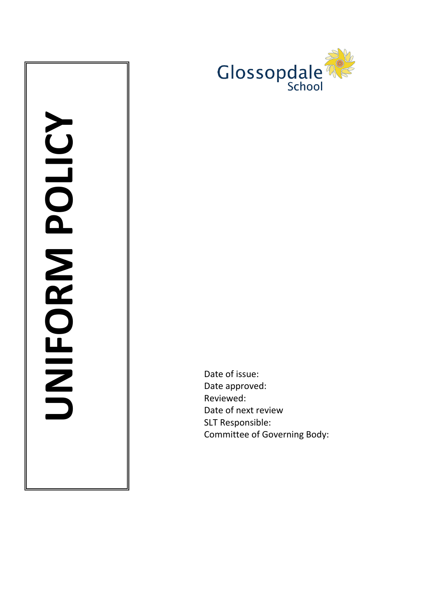

Date of issue: Date approved: Reviewed: Date of next review SLT Responsible: Committee of Governing Body: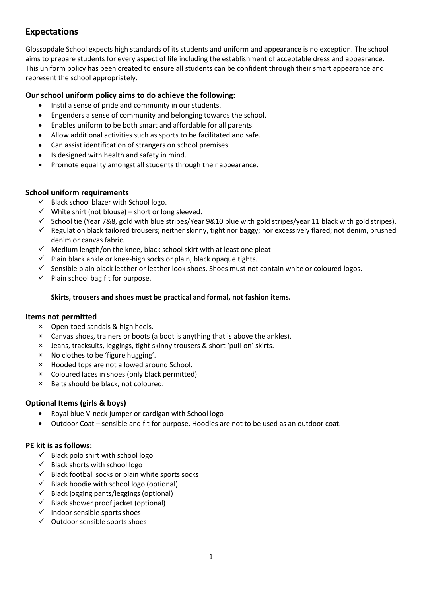# **Expectations**

Glossopdale School expects high standards of its students and uniform and appearance is no exception. The school aims to prepare students for every aspect of life including the establishment of acceptable dress and appearance. This uniform policy has been created to ensure all students can be confident through their smart appearance and represent the school appropriately.

# **Our school uniform policy aims to do achieve the following:**

- Instil a sense of pride and community in our students.
- Engenders a sense of community and belonging towards the school.
- Enables uniform to be both smart and affordable for all parents.
- Allow additional activities such as sports to be facilitated and safe.
- Can assist identification of strangers on school premises.
- Is designed with health and safety in mind.
- Promote equality amongst all students through their appearance.

## **School uniform requirements**

- $\checkmark$  Black school blazer with School logo.
- $\checkmark$  White shirt (not blouse) short or long sleeved.
- $\checkmark$  School tie (Year 7&8, gold with blue stripes/Year 9&10 blue with gold stripes/year 11 black with gold stripes).
- $\checkmark$  Regulation black tailored trousers; neither skinny, tight nor baggy; nor excessively flared; not denim, brushed denim or canvas fabric.
- $\checkmark$  Medium length/on the knee, black school skirt with at least one pleat
- $\checkmark$  Plain black ankle or knee-high socks or plain, black opaque tights.
- $\checkmark$  Sensible plain black leather or leather look shoes. Shoes must not contain white or coloured logos.
- $\checkmark$  Plain school bag fit for purpose.

## **Skirts, trousers and shoes must be practical and formal, not fashion items.**

### **Items not permitted**

- × Open-toed sandals & high heels.
- × Canvas shoes, trainers or boots (a boot is anything that is above the ankles).
- × Jeans, tracksuits, leggings, tight skinny trousers & short 'pull-on' skirts.
- × No clothes to be 'figure hugging'.
- × Hooded tops are not allowed around School.
- × Coloured laces in shoes (only black permitted).
- × Belts should be black, not coloured.

# **Optional Items (girls & boys)**

- Royal blue V-neck jumper or cardigan with School logo
- Outdoor Coat sensible and fit for purpose. Hoodies are not to be used as an outdoor coat.

# **PE kit is as follows:**

- $\checkmark$  Black polo shirt with school logo
- $\checkmark$  Black shorts with school logo
- $\checkmark$  Black football socks or plain white sports socks
- $\checkmark$  Black hoodie with school logo (optional)
- $\checkmark$  Black jogging pants/leggings (optional)
- $\checkmark$  Black shower proof jacket (optional)
- $\checkmark$  Indoor sensible sports shoes
- $\checkmark$  Outdoor sensible sports shoes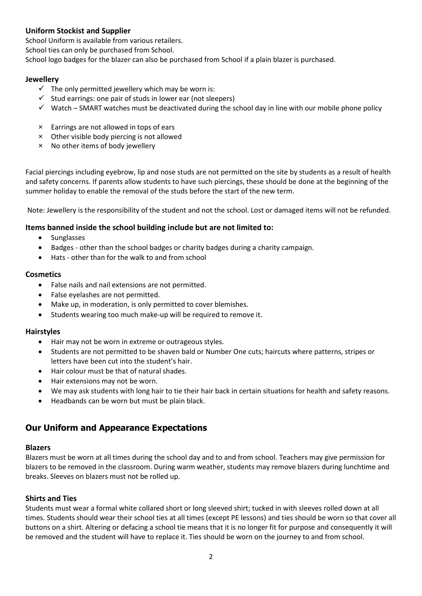# **Uniform Stockist and Supplier**

School Uniform is available from various retailers.

School ties can only be purchased from School.

School logo badges for the blazer can also be purchased from School if a plain blazer is purchased.

### **Jewellery**

- $\checkmark$  The only permitted jewellery which may be worn is:
- $\checkmark$  Stud earrings: one pair of studs in lower ear (not sleepers)
- $\checkmark$  Watch SMART watches must be deactivated during the school day in line with our mobile phone policy
- × Earrings are not allowed in tops of ears
- × Other visible body piercing is not allowed
- × No other items of body jewellery

Facial piercings including eyebrow, lip and nose studs are not permitted on the site by students as a result of health and safety concerns. If parents allow students to have such piercings, these should be done at the beginning of the summer holiday to enable the removal of the studs before the start of the new term.

Note: Jewellery is the responsibility of the student and not the school. Lost or damaged items will not be refunded.

### **Items banned inside the school building include but are not limited to:**

- Sunglasses
- Badges other than the school badges or charity badges during a charity campaign.
- Hats other than for the walk to and from school

### **Cosmetics**

- False nails and nail extensions are not permitted.
- False eyelashes are not permitted.
- Make up, in moderation, is only permitted to cover blemishes.
- Students wearing too much make-up will be required to remove it.

### **Hairstyles**

- Hair may not be worn in extreme or outrageous styles.
- Students are not permitted to be shaven bald or Number One cuts; haircuts where patterns, stripes or letters have been cut into the student's hair.
- Hair colour must be that of natural shades.
- Hair extensions may not be worn.
- We may ask students with long hair to tie their hair back in certain situations for health and safety reasons.
- Headbands can be worn but must be plain black.

# **Our Uniform and Appearance Expectations**

### **Blazers**

Blazers must be worn at all times during the school day and to and from school. Teachers may give permission for blazers to be removed in the classroom. During warm weather, students may remove blazers during lunchtime and breaks. Sleeves on blazers must not be rolled up.

### **Shirts and Ties**

Students must wear a formal white collared short or long sleeved shirt; tucked in with sleeves rolled down at all times. Students should wear their school ties at all times (except PE lessons) and ties should be worn so that cover all buttons on a shirt. Altering or defacing a school tie means that it is no longer fit for purpose and consequently it will be removed and the student will have to replace it. Ties should be worn on the journey to and from school.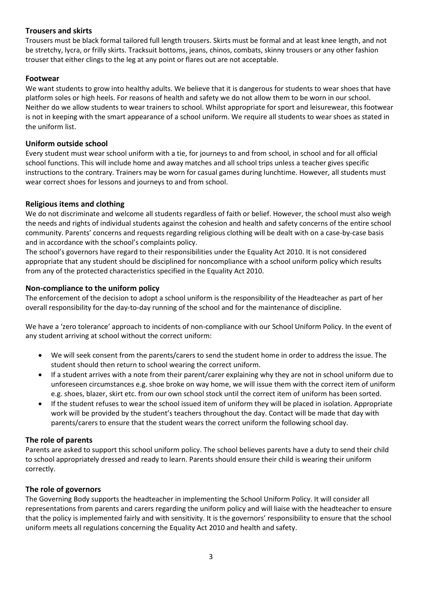## **Trousers and skirts**

Trousers must be black formal tailored full length trousers. Skirts must be formal and at least knee length, and not be stretchy, lycra, or frilly skirts. Tracksuit bottoms, jeans, chinos, combats, skinny trousers or any other fashion trouser that either clings to the leg at any point or flares out are not acceptable.

### **Footwear**

We want students to grow into healthy adults. We believe that it is dangerous for students to wear shoes that have platform soles or high heels. For reasons of health and safety we do not allow them to be worn in our school. Neither do we allow students to wear trainers to school. Whilst appropriate for sport and leisurewear, this footwear is not in keeping with the smart appearance of a school uniform. We require all students to wear shoes as stated in the uniform list.

## **Uniform outside school**

Every student must wear school uniform with a tie, for journeys to and from school, in school and for all official school functions. This will include home and away matches and all school trips unless a teacher gives specific instructions to the contrary. Trainers may be worn for casual games during lunchtime. However, all students must wear correct shoes for lessons and journeys to and from school.

## **Religious items and clothing**

We do not discriminate and welcome all students regardless of faith or belief. However, the school must also weigh the needs and rights of individual students against the cohesion and health and safety concerns of the entire school community. Parents' concerns and requests regarding religious clothing will be dealt with on a case-by-case basis and in accordance with the school's complaints policy.

The school's governors have regard to their responsibilities under the Equality Act 2010. It is not considered appropriate that any student should be disciplined for noncompliance with a school uniform policy which results from any of the protected characteristics specified in the Equality Act 2010.

### **Non-compliance to the uniform policy**

The enforcement of the decision to adopt a school uniform is the responsibility of the Headteacher as part of her overall responsibility for the day-to-day running of the school and for the maintenance of discipline.

We have a 'zero tolerance' approach to incidents of non-compliance with our School Uniform Policy. In the event of any student arriving at school without the correct uniform:

- We will seek consent from the parents/carers to send the student home in order to address the issue. The student should then return to school wearing the correct uniform.
- If a student arrives with a note from their parent/carer explaining why they are not in school uniform due to unforeseen circumstances e.g. shoe broke on way home, we will issue them with the correct item of uniform e.g. shoes, blazer, skirt etc. from our own school stock until the correct item of uniform has been sorted.
- If the student refuses to wear the school issued item of uniform they will be placed in isolation. Appropriate work will be provided by the student's teachers throughout the day. Contact will be made that day with parents/carers to ensure that the student wears the correct uniform the following school day.

### **The role of parents**

Parents are asked to support this school uniform policy. The school believes parents have a duty to send their child to school appropriately dressed and ready to learn. Parents should ensure their child is wearing their uniform correctly.

### **The role of governors**

The Governing Body supports the headteacher in implementing the School Uniform Policy. It will consider all representations from parents and carers regarding the uniform policy and will liaise with the headteacher to ensure that the policy is implemented fairly and with sensitivity. It is the governors' responsibility to ensure that the school uniform meets all regulations concerning the Equality Act 2010 and health and safety.